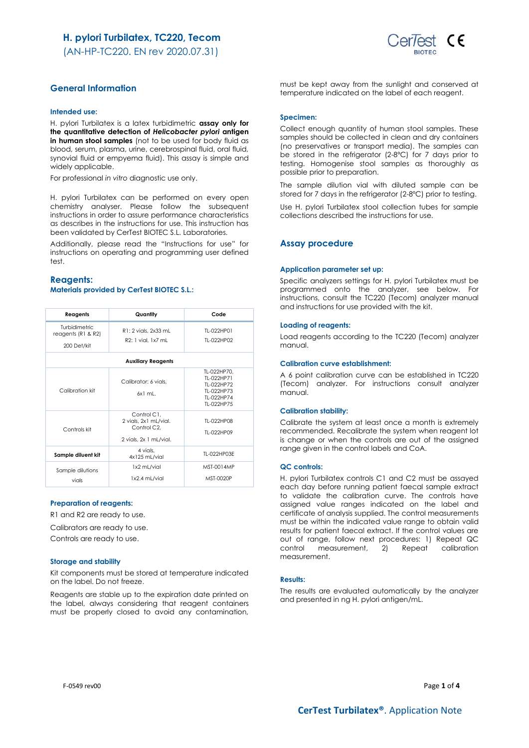(AN-HP-TC220. EN rev 2020.07.31)



# **General Information**

## **Intended use:**

H. pylori Turbilatex is a latex turbidimetric **assay only for the quantitative detection of** *Helicobacter pylori* **antigen in human stool samples** (not to be used for body fluid as blood, serum, plasma, urine, cerebrospinal fluid, oral fluid, synovial fluid or empyema fluid). This assay is simple and widely applicable.

For professional *in vitro* diagnostic use only.

H. pylori Turbilatex can be performed on every open chemistry analyser. Please follow the subsequent instructions in order to assure performance characteristics as describes in the instructions for use. This instruction has been validated by CerTest BIOTEC S.L. Laboratories.

Additionally, please read the "Instructions for use" for instructions on operating and programming user defined test.

## **Reagents: Materials provided by CerTest BIOTEC S.L.:**

| Reagents                                                 | Quantity                                                                                   | Code                                                                              |  |
|----------------------------------------------------------|--------------------------------------------------------------------------------------------|-----------------------------------------------------------------------------------|--|
| Turbidimetric<br>reagents ( $R1$ & $R2$ )<br>200 Det/kit | R1: 2 vials, 2x33 mL<br>R2: 1 vial, 1x7 mL                                                 | TI-022HP01<br>TI-022HP02                                                          |  |
| <b>Auxiliary Reagents</b>                                |                                                                                            |                                                                                   |  |
| Calibration kit                                          | Calibrator: 6 vials.<br>6x1 ml                                                             | TL-022HP70.<br>TI-022HP71<br>TI-022HP72<br>TI-022HP73<br>TL-022HP74<br>TI-022HP75 |  |
| Controls kit                                             | Control C1.<br>2 vials, 2x1 mL/vial.<br>Control C <sub>2</sub> .<br>2 vials, 2x 1 mL/vial. | TI-022HP08<br>TI-022HP09                                                          |  |
| Sample diluent kit                                       | 4 vials.<br>4x125 mL/vial                                                                  | TL-022HP03E                                                                       |  |
| Sample dilutions<br>vials                                | 1x2 mL/vial<br>1x2.4 mL/vial                                                               | MST-0014MP<br>MST-0020P                                                           |  |

#### **Preparation of reagents:**

R1 and R2 are ready to use.

Calibrators are ready to use.

Controls are ready to use.

#### **Storage and stability**

Kit components must be stored at temperature indicated on the label. Do not freeze.

Reagents are stable up to the expiration date printed on the label, always considering that reagent containers must be properly closed to avoid any contamination,

must be kept away from the sunlight and conserved at temperature indicated on the label of each reagent.

#### **Specimen:**

Collect enough quantity of human stool samples. These samples should be collected in clean and dry containers (no preservatives or transport media). The samples can be stored in the refrigerator (2-8ºC) for 7 days prior to testing. Homogenise stool samples as thoroughly as possible prior to preparation.

The sample dilution vial with diluted sample can be stored for 7 days in the refrigerator (2-8ºC) prior to testing.

Use H. pylori Turbilatex stool collection tubes for sample collections described the instructions for use.

## **Assay procedure**

#### **Application parameter set up:**

Specific analyzers settings for H. pylori Turbilatex must be programmed onto the analyzer, see below. For instructions, consult the TC220 (Tecom) analyzer manual and instructions for use provided with the kit.

#### **Loading of reagents:**

Load reagents according to the TC220 (Tecom) analyzer manual.

#### **Calibration curve establishment:**

A 6 point calibration curve can be established in TC220 (Tecom) analyzer. For instructions consult analyzer manual.

### **Calibration stability:**

Calibrate the system at least once a month is extremely recommended. Recalibrate the system when reagent lot is change or when the controls are out of the assigned range given in the control labels and CoA.

## **QC controls:**

H. pylori Turbilatex controls C1 and C2 must be assayed each day before running patient faecal sample extract to validate the calibration curve. The controls have assigned value ranges indicated on the label and certificate of analysis supplied. The control measurements must be within the indicated value range to obtain valid results for patient faecal extract. If the control values are out of range, follow next procedures: 1) Repeat QC control measurement, 2) Repeat calibration measurement.

## **Results:**

The results are evaluated automatically by the analyzer and presented in ng H. pylori antigen/mL.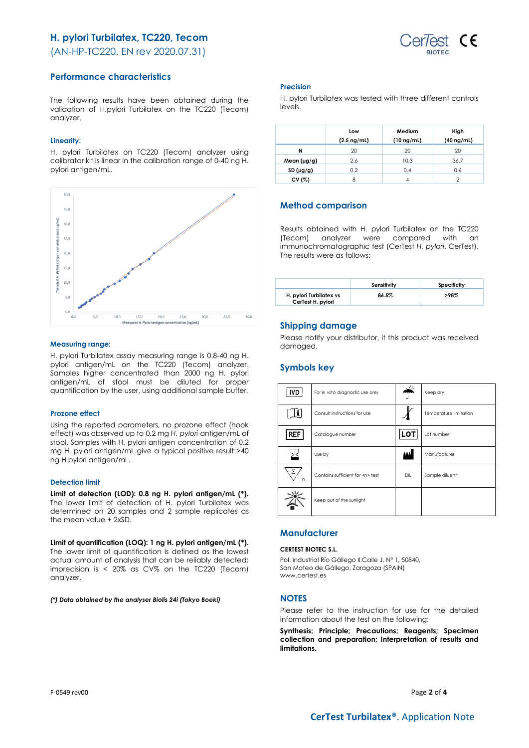# **H. pylori Turbilatex, TC220, Tecom**

(AN-HP-TC220. EN rev 2020.07.31)



## **Performance characteristics**

The following results have been obtained during the validation of H.pylori Turbilatex on the TC220 (Tecom) analyzer.

## **Linearity:**

H. pylori Turbilatex on TC220 (Tecom) analyzer using calibrator kit is linear in the calibration range of 0-40 ng H. pylori antigen/mL.



## **Measuring range:**

H. pylori Turbilatex assay measuring range is 0.8-40 ng H. pylori antigen/mL on the TC220 (Tecom) analyzer. Samples higher concentrated than 2000 ng H. pylori antigen/mL of stool must be diluted for proper quantification by the user, using additional sample buffer.

### **Prozone effect**

Using the reported parameters, no prozone effect (hook effect) was observed up to 0.2 mg *H. pylori* antigen/mL of stool. Samples with H. pylori antigen concentration of 0.2 mg H. pylori antigen/mL give a typical positive result >40 ng H.pylori antigen/mL.

## **Detection limit**

**Limit of detection (LOD): 0.8 ng H. pylori antigen/mL (\*).**  The lower limit of detection of H. pylori Turbilatex was determined on 20 samples and 2 sample replicates as the mean value + 2xSD.

**Limit of quantification (LOQ): 1 ng H. pylori antigen/mL (\*).** The lower limit of quantification is defined as the lowest actual amount of analysis that can be reliably detected; imprecision is < 20% as CV% on the TC220 (Tecom) analyzer.

*(\*) Data obtained by the analyser Biolis 24i (Tokyo Boeki)*

### **Precision**

H. pylori Turbilatex was tested with three different controls levels.

|                  | Low<br>$(2.5 \nmid mL)$ | Medium<br>$(10 \nmid mL)$ | High<br>$(40 \nmid mL)$ |
|------------------|-------------------------|---------------------------|-------------------------|
| N                | 20                      | 20                        | 20                      |
| Mean $(\mu g/g)$ | 2.6                     | 10.3                      | 36.7                    |
| SD $(\mu g/g)$   | 0.2                     | 0.4                       | 0.6                     |
| CV (%)           |                         |                           |                         |

# **Method comparison**

Results obtained with H. pylori Turbilatex on the TC220 (Tecom) analyzer were compared with an immunochromatographic test (CerTest *H. pylori*, CerTest). The results were as follows:

|                                              | Sensitivity | Specificity |
|----------------------------------------------|-------------|-------------|
| H. pylori Turbilatex vs<br>CerTest H. pylori | 86.5%       | >98%        |

## **Shipping damage**

Please notify your distributor, it this product was received damaged.

# **Symbols key**

| <b>IVD</b> | For in vitro diagnostic use only     |            | Keep dry               |
|------------|--------------------------------------|------------|------------------------|
| i          | Consult instructions for use         |            | Temperature limitation |
| <b>REF</b> | Catalogue number                     | <b>LOT</b> | Lot number             |
|            | Use by                               | اعدة       | Manufacturer           |
| Σ<br>n     | Contains sufficient for <n> test</n> | DIL        | Sample diluent         |
|            | Keep out of the sunlight             |            |                        |

# **Manufacturer**

### **CERTEST BIOTEC S.L.**

Pol. Industrial Río Gállego II,Calle J, Nº 1, 50840, San Mateo de Gállego, Zaragoza (SPAIN) www.certest.es

## **NOTES**

Please refer to the instruction for use for the detailed information about the test on the following:

**Synthesis; Principle; Precautions; Reagents; Specimen collection and preparation; Interpretation of results and limitations.**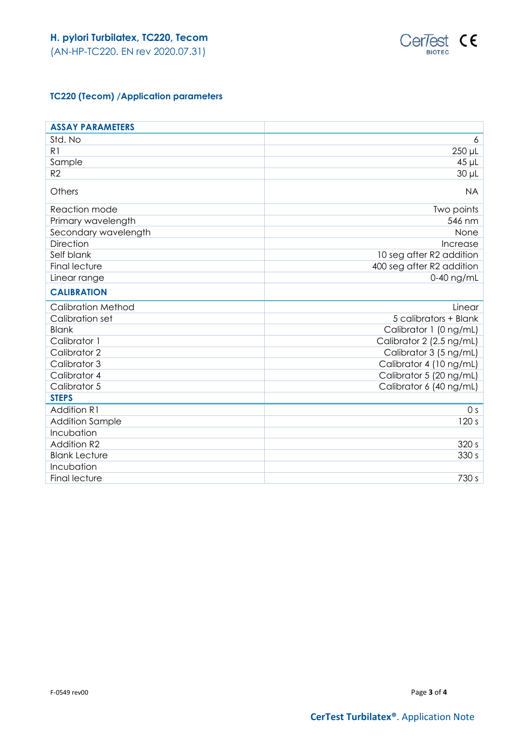

# **TC220 (Tecom) /Application parameters**

| <b>ASSAY PARAMETERS</b>   |                           |
|---------------------------|---------------------------|
| Std. No                   | 6                         |
| R1                        | 250 µL                    |
| Sample                    | $45$ µL                   |
| R <sub>2</sub>            | $30 \mu L$                |
| Others                    | <b>NA</b>                 |
| Reaction mode             | Two points                |
| Primary wavelength        | 546 nm                    |
| Secondary wavelength      | None                      |
| Direction                 | Increase                  |
| Self blank                | 10 seg after R2 addition  |
| <b>Final lecture</b>      | 400 seg after R2 addition |
| Linear range              | 0-40 ng/mL                |
| <b>CALIBRATION</b>        |                           |
| <b>Calibration Method</b> | Linear                    |
| Calibration set           | 5 calibrators + Blank     |
| <b>Blank</b>              | Calibrator 1 (0 ng/mL)    |
| Calibrator 1              | Calibrator 2 (2.5 ng/mL)  |
| Calibrator 2              | Calibrator 3 (5 ng/mL)    |
| Calibrator 3              | Calibrator 4 (10 ng/mL)   |
| Calibrator 4              | Calibrator 5 (20 ng/mL)   |
| Calibrator 5              | Calibrator 6 (40 ng/mL)   |
| <b>STEPS</b>              |                           |
| <b>Addition R1</b>        | 0 <sub>s</sub>            |
| <b>Addition Sample</b>    | 120 s                     |
| Incubation                |                           |
| <b>Addition R2</b>        | 320 s                     |
| <b>Blank Lecture</b>      | 330 s                     |
| Incubation                |                           |
| <b>Final lecture</b>      | 730 s                     |